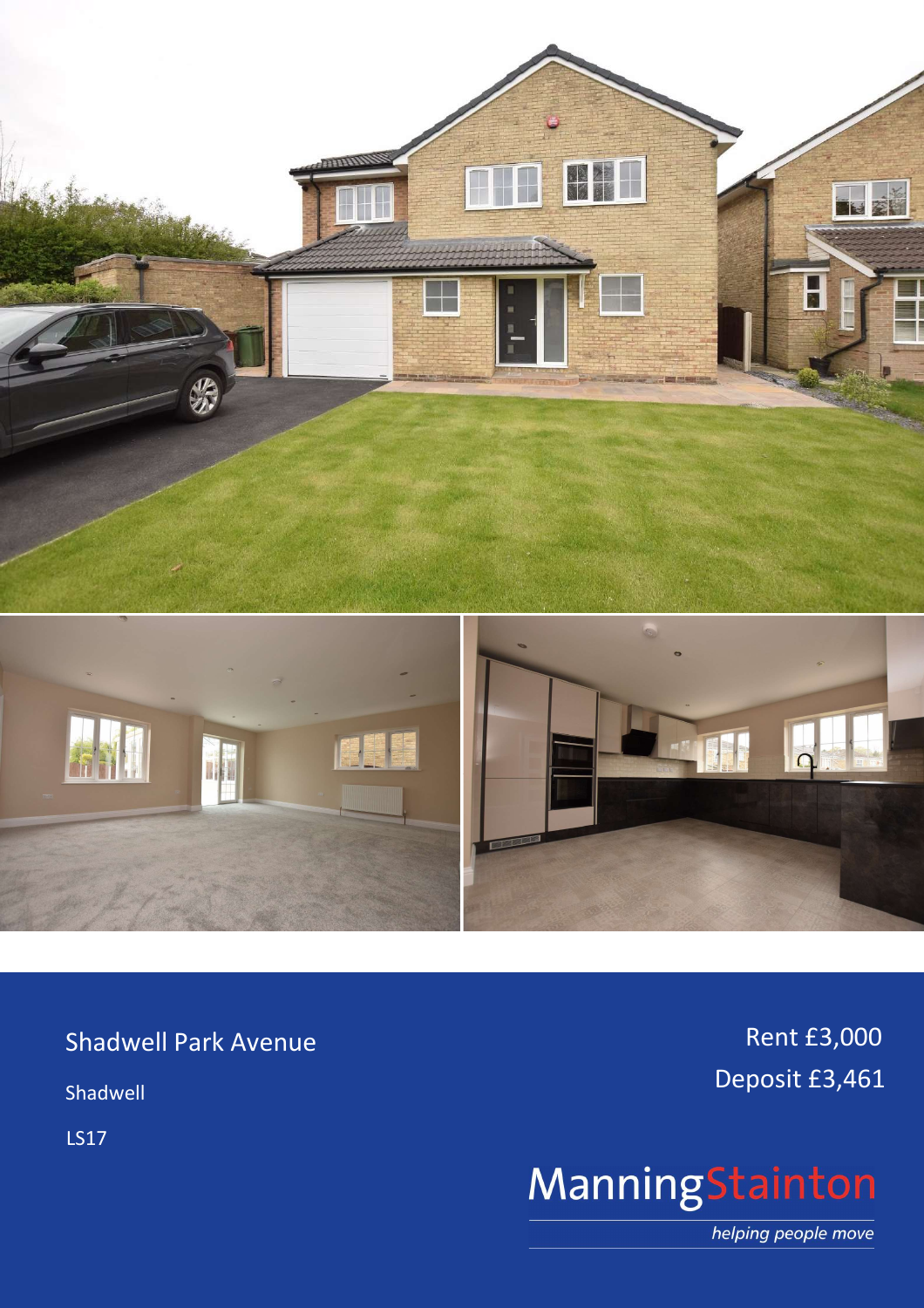

**Shadwell Park Avenue** 

Shadwell

**LS17** 

Rent £3,000 Deposit £3,461

# ManningStainton

helping people move